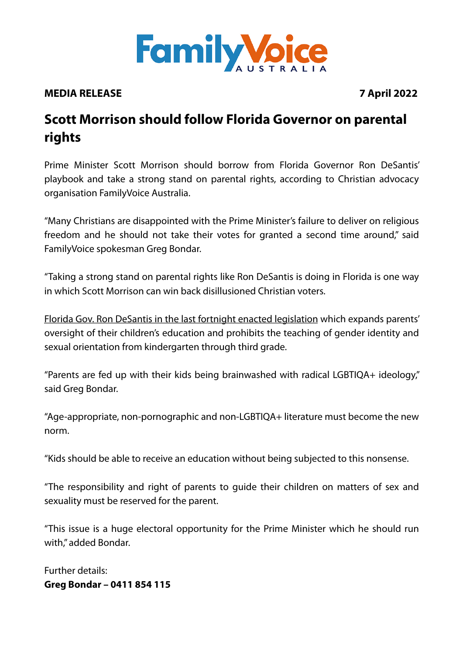

## **MEDIA RELEASE 7 April 2022**

## **Scott Morrison should follow Florida Governor on parental rights**

Prime Minister Scott Morrison should borrow from Florida Governor Ron DeSantis' playbook and take a strong stand on parental rights, according to Christian advocacy organisation FamilyVoice Australia.

"Many Christians are disappointed with the Prime Minister's failure to deliver on religious freedom and he should not take their votes for granted a second time around," said FamilyVoice spokesman Greg Bondar.

"Taking a strong stand on parental rights like Ron DeSantis is doing in Florida is one way in which Scott Morrison can win back disillusioned Christian voters.

[Florida Gov. Ron DeSantis in the last fortnight enacted legislation](https://www.breitbart.com/politics/2022/03/28/ron-desantis-signs-parental-rights-bill-law/) which expands parents' oversight of their children's education and prohibits the teaching of gender identity and sexual orientation from kindergarten through third grade.

"Parents are fed up with their kids being brainwashed with radical LGBTIQA+ ideology," said Greg Bondar.

"Age-appropriate, non-pornographic and non-LGBTIQA+ literature must become the new norm.

"Kids should be able to receive an education without being subjected to this nonsense.

"The responsibility and right of parents to guide their children on matters of sex and sexuality must be reserved for the parent.

"This issue is a huge electoral opportunity for the Prime Minister which he should run with," added Bondar.

Further details: **Greg Bondar – 0411 854 115**